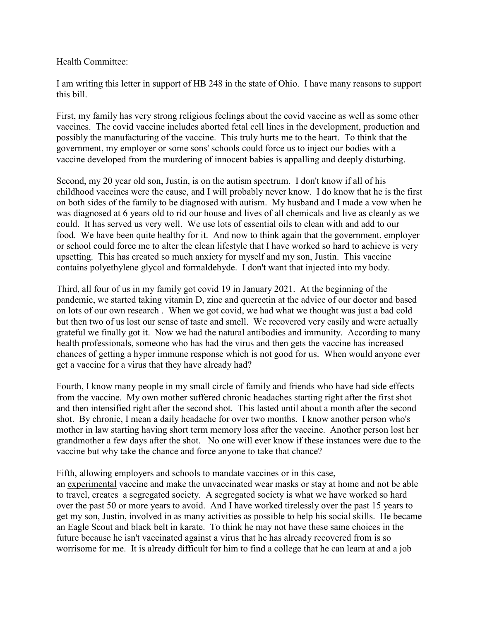Health Committee:

I am writing this letter in support of HB 248 in the state of Ohio. I have many reasons to support this bill.

First, my family has very strong religious feelings about the covid vaccine as well as some other vaccines. The covid vaccine includes aborted fetal cell lines in the development, production and possibly the manufacturing of the vaccine. This truly hurts me to the heart. To think that the government, my employer or some sons' schools could force us to inject our bodies with a vaccine developed from the murdering of innocent babies is appalling and deeply disturbing.

Second, my 20 year old son, Justin, is on the autism spectrum. I don't know if all of his childhood vaccines were the cause, and I will probably never know. I do know that he is the first on both sides of the family to be diagnosed with autism. My husband and I made a vow when he was diagnosed at 6 years old to rid our house and lives of all chemicals and live as cleanly as we could. It has served us very well. We use lots of essential oils to clean with and add to our food. We have been quite healthy for it. And now to think again that the government, employer or school could force me to alter the clean lifestyle that I have worked so hard to achieve is very upsetting. This has created so much anxiety for myself and my son, Justin. This vaccine contains polyethylene glycol and formaldehyde. I don't want that injected into my body.

Third, all four of us in my family got covid 19 in January 2021. At the beginning of the pandemic, we started taking vitamin D, zinc and quercetin at the advice of our doctor and based on lots of our own research . When we got covid, we had what we thought was just a bad cold but then two of us lost our sense of taste and smell. We recovered very easily and were actually grateful we finally got it. Now we had the natural antibodies and immunity. According to many health professionals, someone who has had the virus and then gets the vaccine has increased chances of getting a hyper immune response which is not good for us. When would anyone ever get a vaccine for a virus that they have already had?

Fourth, I know many people in my small circle of family and friends who have had side effects from the vaccine. My own mother suffered chronic headaches starting right after the first shot and then intensified right after the second shot. This lasted until about a month after the second shot. By chronic, I mean a daily headache for over two months. I know another person who's mother in law starting having short term memory loss after the vaccine. Another person lost her grandmother a few days after the shot. No one will ever know if these instances were due to the vaccine but why take the chance and force anyone to take that chance?

Fifth, allowing employers and schools to mandate vaccines or in this case, an experimental vaccine and make the unvaccinated wear masks or stay at home and not be able to travel, creates a segregated society. A segregated society is what we have worked so hard over the past 50 or more years to avoid. And I have worked tirelessly over the past 15 years to get my son, Justin, involved in as many activities as possible to help his social skills. He became an Eagle Scout and black belt in karate. To think he may not have these same choices in the future because he isn't vaccinated against a virus that he has already recovered from is so worrisome for me. It is already difficult for him to find a college that he can learn at and a job